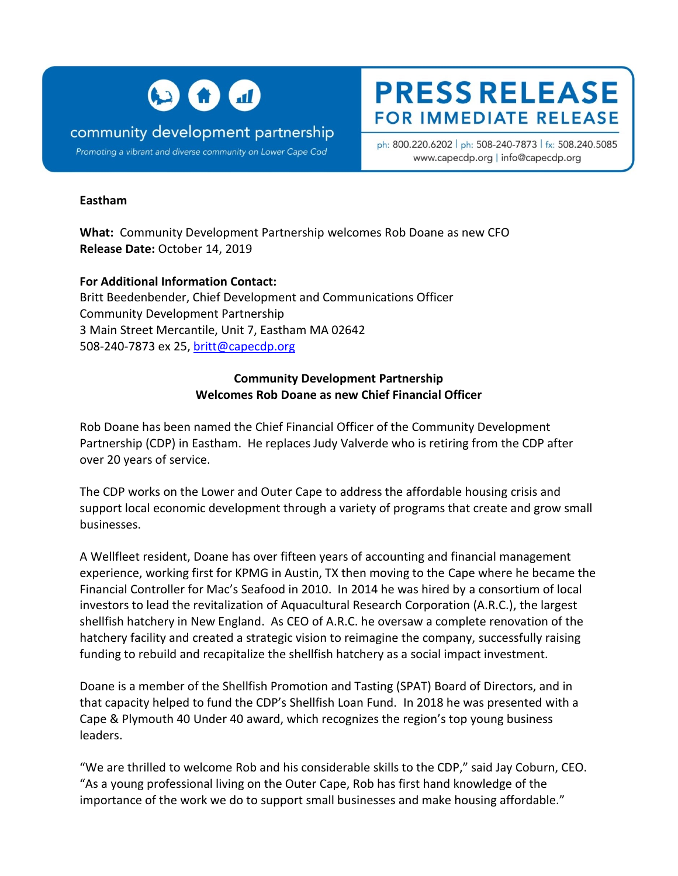

## community development partnership

Promoting a vibrant and diverse community on Lower Cape Cod

# **PRESS RELEASE FOR IMMEDIATE RELEASE**

ph: 800.220.6202 | ph: 508-240-7873 | fx: 508.240.5085 www.capecdp.org | info@capecdp.org

#### **Eastham**

**What:** Community Development Partnership welcomes Rob Doane as new CFO **Release Date:** October 14, 2019

**For Additional Information Contact:** Britt Beedenbender, Chief Development and Communications Officer Community Development Partnership 3 Main Street Mercantile, Unit 7, Eastham MA 02642 508-240-7873 ex 25[, britt@capecdp.org](mailto:britt@capecdp.org)

#### **Community Development Partnership Welcomes Rob Doane as new Chief Financial Officer**

Rob Doane has been named the Chief Financial Officer of the Community Development Partnership (CDP) in Eastham. He replaces Judy Valverde who is retiring from the CDP after over 20 years of service.

The CDP works on the Lower and Outer Cape to address the affordable housing crisis and support local economic development through a variety of programs that create and grow small businesses.

A Wellfleet resident, Doane has over fifteen years of accounting and financial management experience, working first for KPMG in Austin, TX then moving to the Cape where he became the Financial Controller for Mac's Seafood in 2010. In 2014 he was hired by a consortium of local investors to lead the revitalization of Aquacultural Research Corporation (A.R.C.), the largest shellfish hatchery in New England. As CEO of A.R.C. he oversaw a complete renovation of the hatchery facility and created a strategic vision to reimagine the company, successfully raising funding to rebuild and recapitalize the shellfish hatchery as a social impact investment.

Doane is a member of the Shellfish Promotion and Tasting (SPAT) Board of Directors, and in that capacity helped to fund the CDP's Shellfish Loan Fund. In 2018 he was presented with a Cape & Plymouth 40 Under 40 award, which recognizes the region's top young business leaders.

"We are thrilled to welcome Rob and his considerable skills to the CDP," said Jay Coburn, CEO. "As a young professional living on the Outer Cape, Rob has first hand knowledge of the importance of the work we do to support small businesses and make housing affordable."